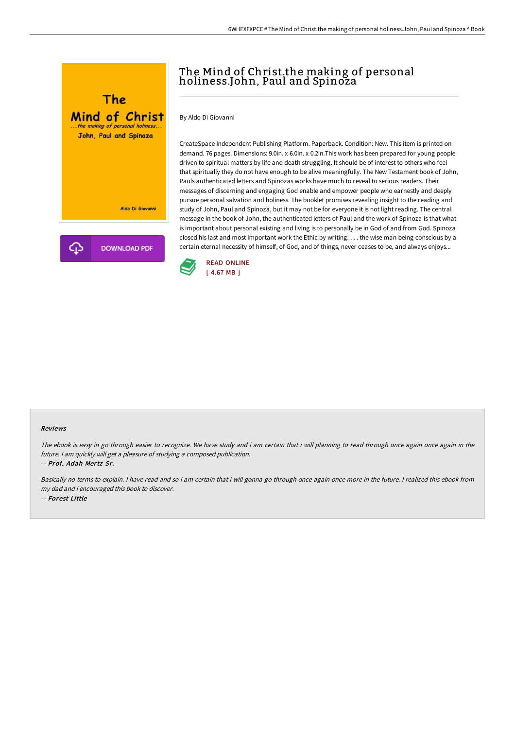

## The Mind of Christ.the making of personal holiness.John, Paul and Spinoza

By Aldo Di Giovanni

CreateSpace Independent Publishing Platform. Paperback. Condition: New. This item is printed on demand. 76 pages. Dimensions: 9.0in. x 6.0in. x 0.2in.This work has been prepared for young people driven to spiritual matters by life and death struggling. It should be of interest to others who feel that spiritually they do not have enough to be alive meaningfully. The New Testament book of John, Pauls authenticated letters and Spinozas works have much to reveal to serious readers. Their messages of discerning and engaging God enable and empower people who earnestly and deeply pursue personal salvation and holiness. The booklet promises revealing insight to the reading and study of John, Paul and Spinoza, but it may not be for everyone it is not light reading. The central message in the book of John, the authenticated letters of Paul and the work of Spinoza is that what is important about personal existing and living is to personally be in God of and from God. Spinoza closed his last and most important work the Ethic by writing: . . . the wise man being conscious by a certain eternal necessity of himself, of God, and of things, never ceases to be, and always enjoys...



#### Reviews

The ebook is easy in go through easier to recognize. We have study and i am certain that i will planning to read through once again once again in the future. <sup>I</sup> am quickly will get <sup>a</sup> pleasure of studying <sup>a</sup> composed publication.

-- Prof. Adah Mertz Sr.

Basically no terms to explain. <sup>I</sup> have read and so i am certain that i will gonna go through once again once more in the future. <sup>I</sup> realized this ebook from my dad and i encouraged this book to discover. -- Forest Little